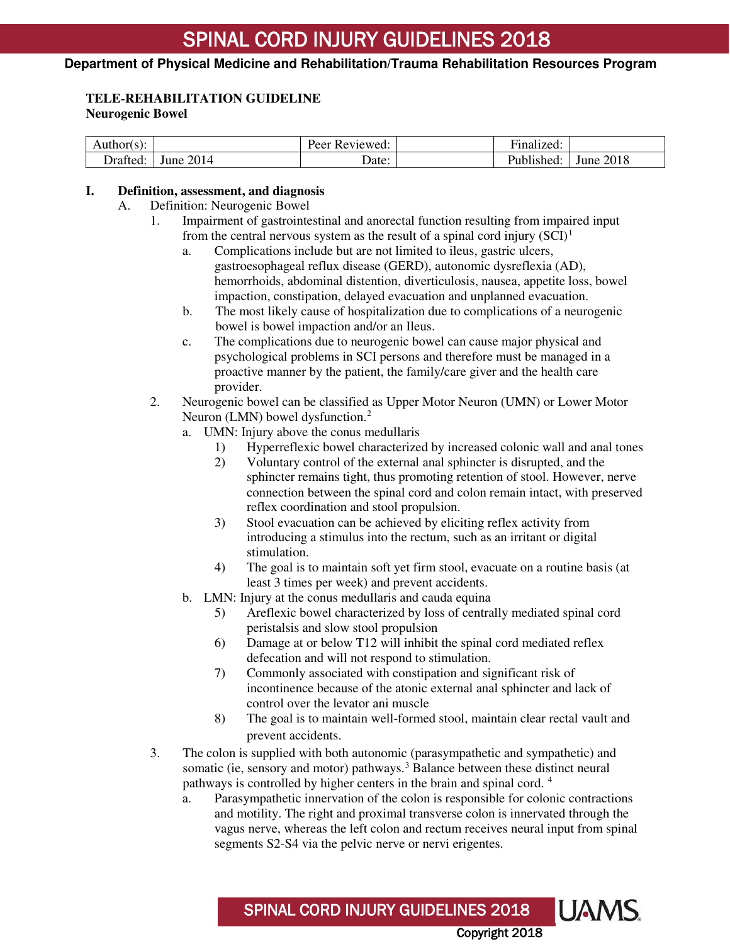### **Department of Physical Medicine and Rehabilitation/Trauma Rehabilitation Resources Program**

### **TELE-REHABILITATION GUIDELINE**

### **Neurogenic Bowel**

| Author(s): |              | Reviewed:<br>Peer | $\cdot$<br>unalized: |              |
|------------|--------------|-------------------|----------------------|--------------|
| - Orafted  | 2014<br>June | Date:             | Published:           | 2018<br>June |

#### **I. Definition, assessment, and diagnosis**

- A. Definition: Neurogenic Bowel
	- 1. Impairment of gastrointestinal and anorectal function resulting from impaired input from the central nervous system as the result of a spinal cord injury  $(SCI)^1$  $(SCI)^1$ 
		- a. Complications include but are not limited to ileus, gastric ulcers, gastroesophageal reflux disease (GERD), autonomic dysreflexia (AD), hemorrhoids, abdominal distention, diverticulosis, nausea, appetite loss, bowel impaction, constipation, delayed evacuation and unplanned evacuation.
		- b. The most likely cause of hospitalization due to complications of a neurogenic bowel is bowel impaction and/or an Ileus.
		- c. The complications due to neurogenic bowel can cause major physical and psychological problems in SCI persons and therefore must be managed in a proactive manner by the patient, the family/care giver and the health care provider.
	- 2. Neurogenic bowel can be classified as Upper Motor Neuron (UMN) or Lower Motor Neuron (LMN) bowel dysfunction.<sup>[2](#page-5-1)</sup>
		- a. UMN: Injury above the conus medullaris
			- 1) Hyperreflexic bowel characterized by increased colonic wall and anal tones
			- 2) Voluntary control of the external anal sphincter is disrupted, and the sphincter remains tight, thus promoting retention of stool. However, nerve connection between the spinal cord and colon remain intact, with preserved reflex coordination and stool propulsion.
			- 3) Stool evacuation can be achieved by eliciting reflex activity from introducing a stimulus into the rectum, such as an irritant or digital stimulation.
			- 4) The goal is to maintain soft yet firm stool, evacuate on a routine basis (at least 3 times per week) and prevent accidents.
		- b. LMN: Injury at the conus medullaris and cauda equina
			- 5) Areflexic bowel characterized by loss of centrally mediated spinal cord peristalsis and slow stool propulsion
			- 6) Damage at or below T12 will inhibit the spinal cord mediated reflex defecation and will not respond to stimulation.
			- 7) Commonly associated with constipation and significant risk of incontinence because of the atonic external anal sphincter and lack of control over the levator ani muscle
			- 8) The goal is to maintain well-formed stool, maintain clear rectal vault and prevent accidents.
	- 3. The colon is supplied with both autonomic (parasympathetic and sympathetic) and somatic (ie, sensory and motor) pathways.<sup>[3](#page-5-2)</sup> Balance between these distinct neural pathways is controlled by higher centers in the brain and spinal cord. [4](#page-5-3)

SPINAL CORD INJURY GUIDELINES 2018

a. Parasympathetic innervation of the colon is responsible for colonic contractions and motility. The right and proximal transverse colon is innervated through the vagus nerve, whereas the left colon and rectum receives neural input from spinal segments S2-S4 via the pelvic nerve or nervi erigentes.

Copyright 2018

**UAMS**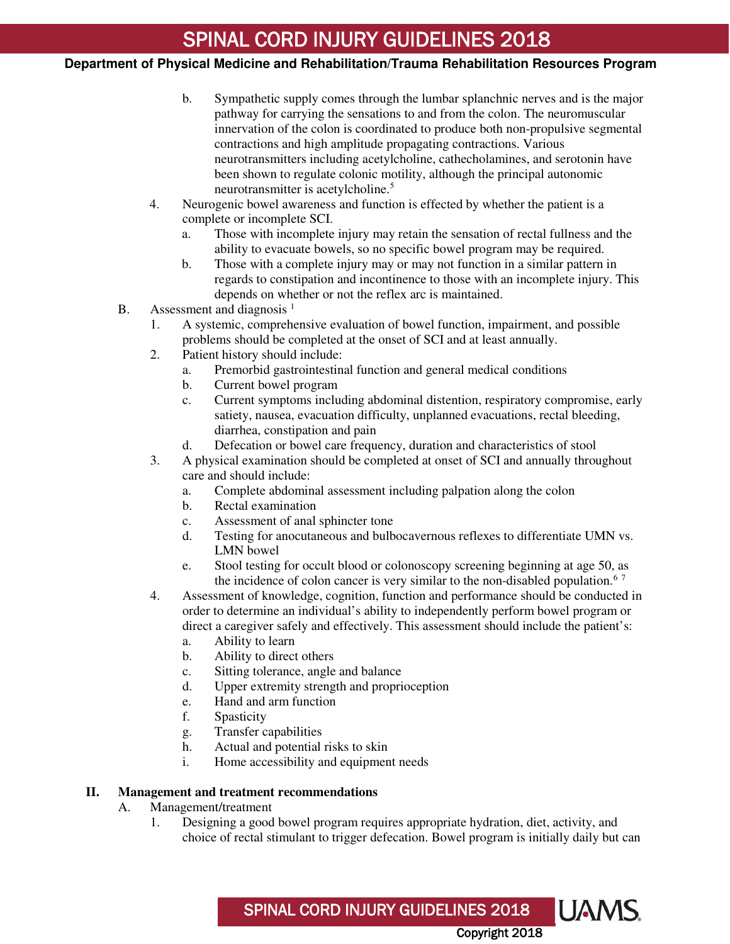### **Department of Physical Medicine and Rehabilitation/Trauma Rehabilitation Resources Program**

- b. Sympathetic supply comes through the lumbar splanchnic nerves and is the major pathway for carrying the sensations to and from the colon. The neuromuscular innervation of the colon is coordinated to produce both non-propulsive segmental contractions and high amplitude propagating contractions. Various neurotransmitters including acetylcholine, cathecholamines, and serotonin have been shown to regulate colonic motility, although the principal autonomic neurotransmitter is acetylcholine.<sup>[5](#page-5-4)</sup>
- 4. Neurogenic bowel awareness and function is effected by whether the patient is a complete or incomplete SCI.
	- a. Those with incomplete injury may retain the sensation of rectal fullness and the ability to evacuate bowels, so no specific bowel program may be required.
	- b. Those with a complete injury may or may not function in a similar pattern in regards to constipation and incontinence to those with an incomplete injury. This depends on whether or not the reflex arc is maintained.
- B. Assessment and diagnosis<sup>1</sup>
	- 1. A systemic, comprehensive evaluation of bowel function, impairment, and possible problems should be completed at the onset of SCI and at least annually.
	- 2. Patient history should include:
		- a. Premorbid gastrointestinal function and general medical conditions
		- b. Current bowel program
		- c. Current symptoms including abdominal distention, respiratory compromise, early satiety, nausea, evacuation difficulty, unplanned evacuations, rectal bleeding, diarrhea, constipation and pain
		- d. Defecation or bowel care frequency, duration and characteristics of stool
	- 3. A physical examination should be completed at onset of SCI and annually throughout care and should include:
		- a. Complete abdominal assessment including palpation along the colon
		- b. Rectal examination
		- c. Assessment of anal sphincter tone
		- d. Testing for anocutaneous and bulbocavernous reflexes to differentiate UMN vs. LMN bowel
		- e. Stool testing for occult blood or colonoscopy screening beginning at age 50, as the incidence of colon cancer is very similar to the non-disabled population.<sup>[6](#page-5-5)[7](#page-5-6)</sup>
	- 4. Assessment of knowledge, cognition, function and performance should be conducted in order to determine an individual's ability to independently perform bowel program or direct a caregiver safely and effectively. This assessment should include the patient's:
		- a. Ability to learn
		- b. Ability to direct others
		- c. Sitting tolerance, angle and balance
		- d. Upper extremity strength and proprioception
		- e. Hand and arm function
		- f. Spasticity
		- g. Transfer capabilities
		- h. Actual and potential risks to skin
		- i. Home accessibility and equipment needs

#### **II. Management and treatment recommendations**

- A. Management/treatment
	- 1. Designing a good bowel program requires appropriate hydration, diet, activity, and choice of rectal stimulant to trigger defecation. Bowel program is initially daily but can

SPINAL CORD INJURY GUIDELINES 2018

Copyright 2018

**UAMS**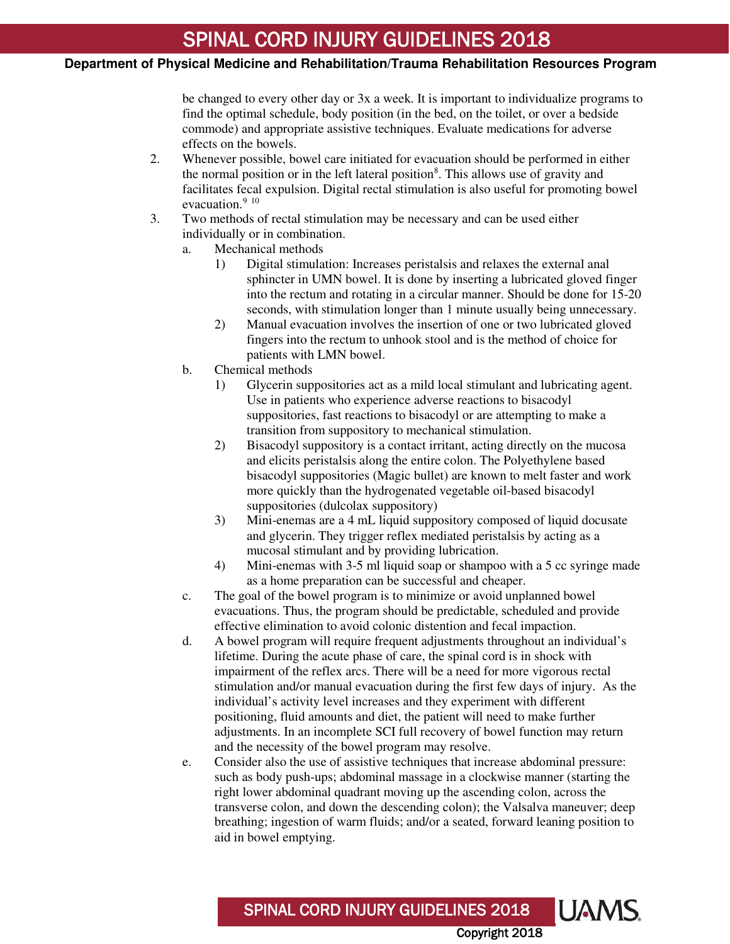### **Department of Physical Medicine and Rehabilitation/Trauma Rehabilitation Resources Program**

be changed to every other day or 3x a week. It is important to individualize programs to find the optimal schedule, body position (in the bed, on the toilet, or over a bedside commode) and appropriate assistive techniques. Evaluate medications for adverse effects on the bowels.

- 2. Whenever possible, bowel care initiated for evacuation should be performed in either the normal position or in the left lateral position<sup>[8](#page-5-7)</sup>. This allows use of gravity and facilitates fecal expulsion. Digital rectal stimulation is also useful for promoting bowel evacuation.<sup>[9](#page-5-8)</sup> <sup>[10](#page-5-9)</sup>
- 3. Two methods of rectal stimulation may be necessary and can be used either individually or in combination.
	- a. Mechanical methods
		- 1) Digital stimulation: Increases peristalsis and relaxes the external anal sphincter in UMN bowel. It is done by inserting a lubricated gloved finger into the rectum and rotating in a circular manner. Should be done for 15-20 seconds, with stimulation longer than 1 minute usually being unnecessary.
		- 2) Manual evacuation involves the insertion of one or two lubricated gloved fingers into the rectum to unhook stool and is the method of choice for patients with LMN bowel.
	- b. Chemical methods
		- 1) Glycerin suppositories act as a mild local stimulant and lubricating agent. Use in patients who experience adverse reactions to bisacodyl suppositories, fast reactions to bisacodyl or are attempting to make a transition from suppository to mechanical stimulation.
		- 2) Bisacodyl suppository is a contact irritant, acting directly on the mucosa and elicits peristalsis along the entire colon. The Polyethylene based bisacodyl suppositories (Magic bullet) are known to melt faster and work more quickly than the hydrogenated vegetable oil-based bisacodyl suppositories (dulcolax suppository)
		- 3) Mini-enemas are a 4 mL liquid suppository composed of liquid docusate and glycerin. They trigger reflex mediated peristalsis by acting as a mucosal stimulant and by providing lubrication.
		- 4) Mini-enemas with 3-5 ml liquid soap or shampoo with a 5 cc syringe made as a home preparation can be successful and cheaper.
	- c. The goal of the bowel program is to minimize or avoid unplanned bowel evacuations. Thus, the program should be predictable, scheduled and provide effective elimination to avoid colonic distention and fecal impaction.
	- d. A bowel program will require frequent adjustments throughout an individual's lifetime. During the acute phase of care, the spinal cord is in shock with impairment of the reflex arcs. There will be a need for more vigorous rectal stimulation and/or manual evacuation during the first few days of injury. As the individual's activity level increases and they experiment with different positioning, fluid amounts and diet, the patient will need to make further adjustments. In an incomplete SCI full recovery of bowel function may return and the necessity of the bowel program may resolve.
	- e. Consider also the use of assistive techniques that increase abdominal pressure: such as body push-ups; abdominal massage in a clockwise manner (starting the right lower abdominal quadrant moving up the ascending colon, across the transverse colon, and down the descending colon); the Valsalva maneuver; deep breathing; ingestion of warm fluids; and/or a seated, forward leaning position to aid in bowel emptying.

Copyright 2018

**UAMS** 

SPINAL CORD INJURY GUIDELINES 2018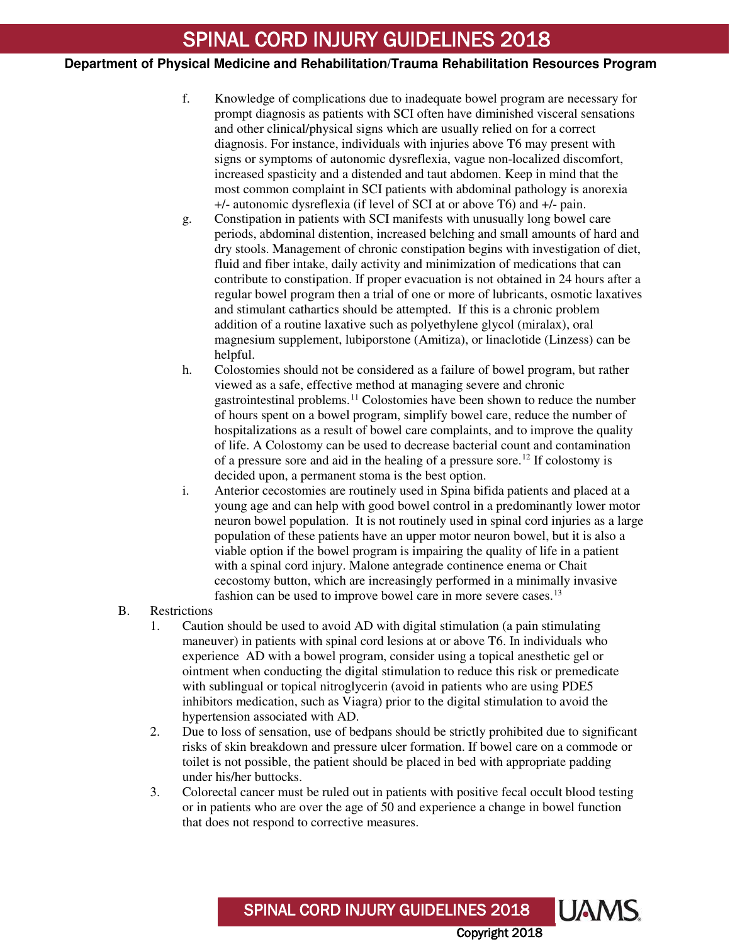### **Department of Physical Medicine and Rehabilitation/Trauma Rehabilitation Resources Program**

- f. Knowledge of complications due to inadequate bowel program are necessary for prompt diagnosis as patients with SCI often have diminished visceral sensations and other clinical/physical signs which are usually relied on for a correct diagnosis. For instance, individuals with injuries above T6 may present with signs or symptoms of autonomic dysreflexia, vague non-localized discomfort, increased spasticity and a distended and taut abdomen. Keep in mind that the most common complaint in SCI patients with abdominal pathology is anorexia +/- autonomic dysreflexia (if level of SCI at or above T6) and +/- pain.
- g. Constipation in patients with SCI manifests with unusually long bowel care periods, abdominal distention, increased belching and small amounts of hard and dry stools. Management of chronic constipation begins with investigation of diet, fluid and fiber intake, daily activity and minimization of medications that can contribute to constipation. If proper evacuation is not obtained in 24 hours after a regular bowel program then a trial of one or more of lubricants, osmotic laxatives and stimulant cathartics should be attempted. If this is a chronic problem addition of a routine laxative such as polyethylene glycol (miralax), oral magnesium supplement, lubiporstone (Amitiza), or linaclotide (Linzess) can be helpful.
- h. Colostomies should not be considered as a failure of bowel program, but rather viewed as a safe, effective method at managing severe and chronic gastrointestinal problems.[11](#page-5-10) Colostomies have been shown to reduce the number of hours spent on a bowel program, simplify bowel care, reduce the number of hospitalizations as a result of bowel care complaints, and to improve the quality of life. A Colostomy can be used to decrease bacterial count and contamination of a pressure sore and aid in the healing of a pressure sore.[12](#page-5-11) If colostomy is decided upon, a permanent stoma is the best option.
- i. Anterior cecostomies are routinely used in Spina bifida patients and placed at a young age and can help with good bowel control in a predominantly lower motor neuron bowel population. It is not routinely used in spinal cord injuries as a large population of these patients have an upper motor neuron bowel, but it is also a viable option if the bowel program is impairing the quality of life in a patient with a spinal cord injury. Malone antegrade continence enema or Chait cecostomy button, which are increasingly performed in a minimally invasive fashion can be used to improve bowel care in more severe cases.<sup>[13](#page-5-12)</sup>
- B. Restrictions
	- 1. Caution should be used to avoid AD with digital stimulation (a pain stimulating maneuver) in patients with spinal cord lesions at or above T6. In individuals who experience AD with a bowel program, consider using a topical anesthetic gel or ointment when conducting the digital stimulation to reduce this risk or premedicate with sublingual or topical nitroglycerin (avoid in patients who are using PDE5 inhibitors medication, such as Viagra) prior to the digital stimulation to avoid the hypertension associated with AD.
	- 2. Due to loss of sensation, use of bedpans should be strictly prohibited due to significant risks of skin breakdown and pressure ulcer formation. If bowel care on a commode or toilet is not possible, the patient should be placed in bed with appropriate padding under his/her buttocks.
	- 3. Colorectal cancer must be ruled out in patients with positive fecal occult blood testing or in patients who are over the age of 50 and experience a change in bowel function that does not respond to corrective measures.

SPINAL CORD INJURY GUIDELINES 2018

Copyright 2018

UAMS.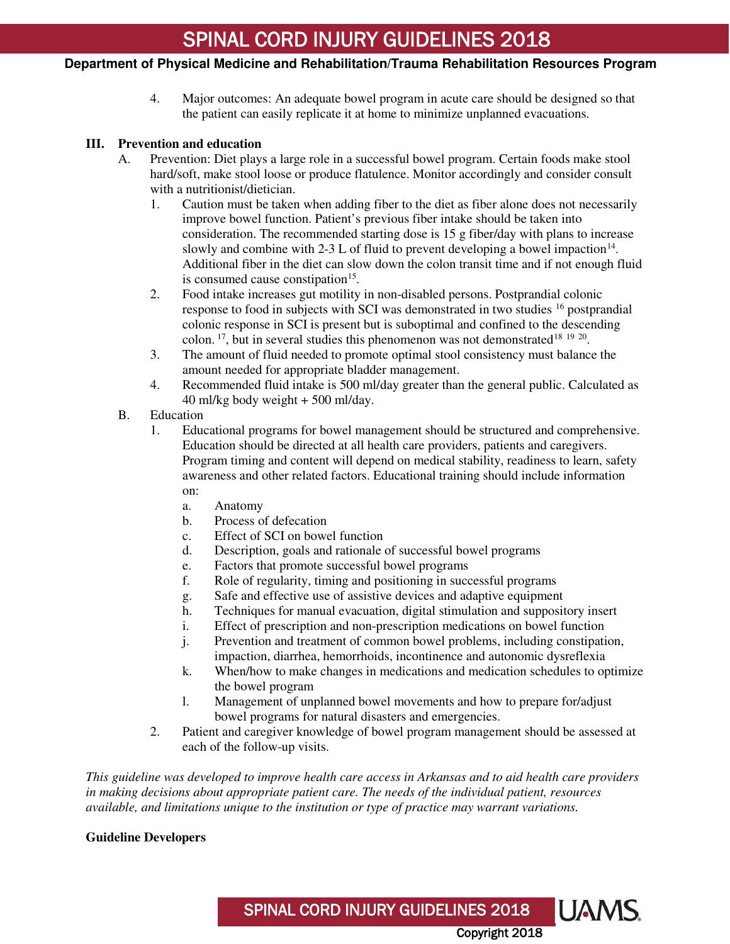### **Department of Physical Medicine and Rehabilitation/Trauma Rehabilitation Resources Program**

4. Major outcomes: An adequate bowel program in acute care should be designed so that the patient can easily replicate it at home to minimize unplanned evacuations.

### **III. Prevention and education**

- A. Prevention: Diet plays a large role in a successful bowel program. Certain foods make stool hard/soft, make stool loose or produce flatulence. Monitor accordingly and consider consult with a nutritionist/dietician.
	- 1. Caution must be taken when adding fiber to the diet as fiber alone does not necessarily improve bowel function. Patient's previous fiber intake should be taken into consideration. The recommended starting dose is 15 g fiber/day with plans to increase slowly and combine with 2-3 L of fluid to prevent developing a bowel impaction<sup>[14](#page-5-13)</sup>. Additional fiber in the diet can slow down the colon transit time and if not enough fluid is consumed cause constipation<sup>[15](#page-5-14)</sup>.
	- 2. Food intake increases gut motility in non-disabled persons. Postprandial colonic response to food in subjects with SCI was demonstrated in two studies <sup>[16](#page-5-15)</sup> postprandial colonic response in SCI is present but is suboptimal and confined to the descending colon.  $17$ , but in several studies this phenomenon was not demonstrated  $18\,19\,20$  $18\,19\,20$  $18\,19\,20$  $18\,19\,20$  $18\,19\,20$ .
	- 3. The amount of fluid needed to promote optimal stool consistency must balance the amount needed for appropriate bladder management.
	- 4. Recommended fluid intake is 500 ml/day greater than the general public. Calculated as 40 ml/kg body weight + 500 ml/day.
- B. Education
	- 1. Educational programs for bowel management should be structured and comprehensive. Education should be directed at all health care providers, patients and caregivers. Program timing and content will depend on medical stability, readiness to learn, safety awareness and other related factors. Educational training should include information on:
		- a. Anatomy
		- b. Process of defecation
		- c. Effect of SCI on bowel function
		- d. Description, goals and rationale of successful bowel programs
		- e. Factors that promote successful bowel programs
		- f. Role of regularity, timing and positioning in successful programs
		- g. Safe and effective use of assistive devices and adaptive equipment
		- h. Techniques for manual evacuation, digital stimulation and suppository insert
		- i. Effect of prescription and non-prescription medications on bowel function
		- j. Prevention and treatment of common bowel problems, including constipation, impaction, diarrhea, hemorrhoids, incontinence and autonomic dysreflexia
		- k. When/how to make changes in medications and medication schedules to optimize the bowel program
		- l. Management of unplanned bowel movements and how to prepare for/adjust bowel programs for natural disasters and emergencies.
	- 2. Patient and caregiver knowledge of bowel program management should be assessed at each of the follow-up visits.

SPINAL CORD INJURY GUIDELINES 2018

Copyright 2018

**UAMS** 

*This guideline was developed to improve health care access in Arkansas and to aid health care providers in making decisions about appropriate patient care. The needs of the individual patient, resources available, and limitations unique to the institution or type of practice may warrant variations.*

#### **Guideline Developers**